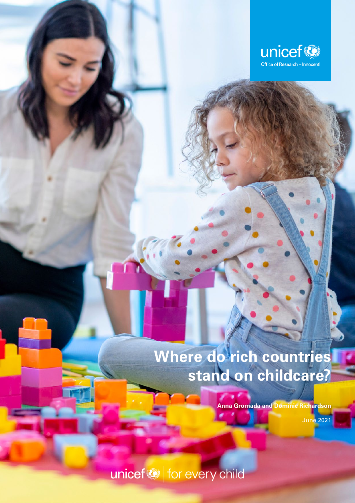

**Where do rich countries stand on childcare?**

# **Where do rich countries stand on childcare?**

**Anna Gromada and Dominic Richardson**

June 2021

unicef<sup>®</sup> for every child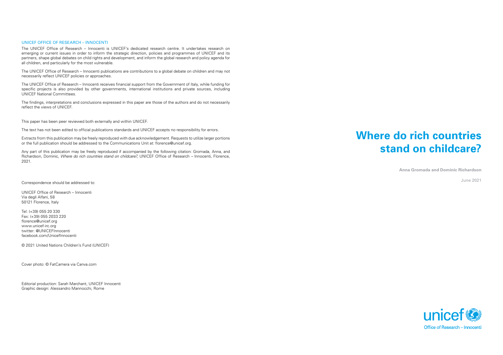# **Where do rich countries stand on childcare?**

**Anna Gromada and Dominic Richardson**

June 2021



#### UNICEF OFFICE OF RESEARCH – INNOCENTI

The UNICEF Office of Research – Innocenti is UNICEF's dedicated research centre. It undertakes research on emerging or current issues in order to inform the strategic direction, policies and programmes of UNICEF and its partners, shape global debates on child rights and development, and inform the global research and policy agenda for all children, and particularly for the most vulnerable.

The UNICEF Office of Research – Innocenti publications are contributions to a global debate on children and may not necessarily reflect UNICEF policies or approaches.

The UNICEF Office of Research – Innocenti receives financial support from the Government of Italy, while funding for specific projects is also provided by other governments, international institutions and private sources, including UNICEF National Committees.

The findings, interpretations and conclusions expressed in this paper are those of the authors and do not necessarily reflect the views of UNICEF.

This paper has been peer reviewed both externally and within UNICEF.

The text has not been edited to official publications standards and UNICEF accepts no responsibility for errors.

Extracts from this publication may be freely reproduced with due acknowledgement. Requests to utilize larger portions or the full publication should be addressed to the Communications Unit at: florence@unicef.org.

Any part of this publication may be freely reproduced if accompanied by the following citation: Gromada, Anna, and Richardson, Dominic, *Where do rich countries stand on childcare?*, UNICEF Office of Research *–* Innocenti, Florence, 2021.

Correspondence should be addressed to:

UNICEF Office of Research – Innocenti Via degli Alfani, 58 50121 Florence, Italy

Tel: (+39) 055 20 330 Fax: (+39) 055 2033 220 florence@unicef.org www.unicef-irc.org twitter: @UNICEFInnocenti facebook.com/UnicefInnocenti

© 2021 United Nations Children's Fund (UNICEF)

Cover photo: © FatCamera via Canva.com

Editorial production: Sarah Marchant, UNICEF Innocenti Graphic design: Alessandro Mannocchi, Rome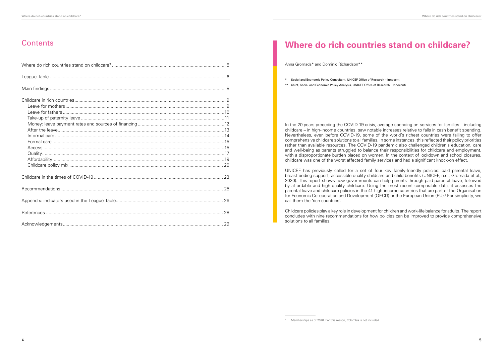### **Contents**

In the 20 years preceding the COVID-19 crisis, average spending on services for families – including childcare – in high-income countries, saw notable increases relative to falls in cash benefit spending. Nevertheless, even before COVID-19, some of the world's richest countries were failing to offer comprehensive childcare solutions to all families. In some instances, this reflected their policy priorities rather than available resources. The COVID-19 pandemic also challenged children's education, care and well-being as parents struggled to balance their responsibilities for childcare and employment, with a disproportionate burden placed on women. In the context of lockdown and school closures, childcare was one of the worst affected family services and had a significant knock-on effect.

UNICEF has previously called for a set of four key family-friendly policies: paid parental leave, breastfeeding support, accessible quality childcare and child benefits (UNICEF, n.d.; Gromada et al., 2020). This report shows how governments can help parents through paid parental leave, followed by affordable and high-quality childcare. Using the most recent comparable data, it assesses the parental leave and childcare policies in the 41 high-income countries that are part of the Organisation for Economic Co-operation and Development (OECD) or the European Union (EU).<sup>1</sup> For simplicity, we call them the 'rich countries'.

Childcare policies play a key role in development for children and work-life balance for adults. The report concludes with nine recommendations for how policies can be improved to provide comprehensive solutions to all families.

## **Where do rich countries stand on childcare?**

Anna Gromada\* and Dominic Richardson\*\*

\* Social and Economic Policy Consultant, UNICEF Office of Research – Innocenti

\*\* Chief, Social and Economic Policy Analysis, UNICEF Office of Research – Innocenti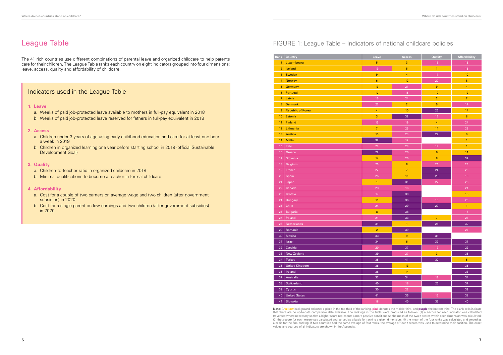|  | f national childcare policies |  |
|--|-------------------------------|--|
|  |                               |  |

### League Table

The 41 rich countries use different combinations of parental leave and organized childcare to help parents care for their children. The League Table ranks each country on eight indicators grouped into four dimensions: leave, access, quality and affordability of childcare.

#### Indicators used in the League Table

#### **1. Leave**

- a. Weeks of paid job-protected leave available to mothers in full-pay equivalent in 2018
- b. Weeks of paid job-protected leave reserved for fathers in full-pay equivalent in 2018

#### **2. Access**

- a. Children under 3 years of age using early childhood education and care for at least one hour a week in 2019
- b. Children in organized learning one year before starting school in 2018 (official Sustainable Development Goal)

#### **3. Quality**

- a. Children-to-teacher ratio in organized childcare in 2018
- b. Minimal qualifications to become a teacher in formal childcare

#### **4. Affordability**

- a. Cost for a couple of two earners on average wage and two children (after government subsidies) in 2020
- b. Cost for a single parent on low earnings and two children (after government subsidies) in 2020

#### FIGURE 1: League Table – Indicators of

| Rank             | Country                  | Leave                     | <b>Access</b>           | <b>Quality</b>          | <b>Affordability</b> |
|------------------|--------------------------|---------------------------|-------------------------|-------------------------|----------------------|
| $\mathbf{1}$     | Luxembourg               | $\overline{5}$            | 3                       | 13                      | $16\,$               |
| $\overline{2}$   | Iceland                  | 19                        | 5                       | $\mathbf{1}$            | 15                   |
| 3                | <b>Sweden</b>            | $\boldsymbol{9}$          | $\overline{\mathbf{4}}$ | 17                      | 10                   |
| $\overline{4}$   | Norway                   | $\boldsymbol{6}$          | $12 \overline{ }$       | 20                      | $\bf 8$              |
| $\overline{5}$   | Germany                  | 13                        | 21                      | $\boldsymbol{9}$        | $\overline{4}$       |
| $6\phantom{a}$   | Portugal                 | 12                        | $15\,$                  | 10                      | 12                   |
| $\overline{7}$   | Latvia                   | $16\,$                    | 24                      | $\overline{\mathbf{c}}$ | $\overline{7}$       |
| $\boldsymbol{8}$ | Denmark                  | 27                        | $\overline{2}$          | 5                       | 17                   |
| 9                | <b>Republic of Korea</b> | $\overline{4}$            | 10                      | 26                      | 14                   |
| 10               | Estonia                  | $\ensuremath{\mathsf{3}}$ | 32                      | $17\,$                  | $\bf 8$              |
| 11               | <b>Finland</b>           | 15                        | 19                      | $\overline{4}$          | 24                   |
| 12               | Lithuania                | $\overline{7}$            | 25                      | 11                      | 22                   |
| 13               | Austria                  | $10$                      | 23                      | 27                      | $6\phantom{a}$       |
| 14               | <b>Malta</b>             | 32                        | $17\,$                  |                         | $\mathbf{1}$         |
| 15               | Italy                    | 28                        | 28                      | 14                      | $\mathbf{1}$         |
| 16               | Greece                   | 29                        | ${\bf 26}$              | $\boldsymbol{6}$        | 11                   |
| 17               | Slovenia                 | 14                        | $20\,$                  | $\bf 8$                 | 32                   |
| 18               | Belgium                  | ${\bf 26}$                | $\bf 8$                 | 21                      | 23                   |
| 19               | France                   | 22                        | $\overline{7}$          | 24                      | 25                   |
| 20               | Spain                    | 25                        | 11                      | 23                      | 19                   |
| 21               | Japan                    | $\mathbf{1}$              | 31                      | 22                      | 26                   |
| 22               | Canada                   | 23                        | 16                      |                         | 21                   |
| 23               | Croatia                  | 17                        | $30\,$                  |                         | 13                   |
| 24               | Hungary                  | 11                        | $36\,$                  | $16\,$                  | 20                   |
| 25               | Chile                    | 24                        | $29\,$                  | 29                      | $\mathbf{1}$         |
| 26               | <b>Bulgaria</b>          | $\bf 8$                   | $38\,$                  |                         | $18\,$               |
| 27               | Poland                   | 21                        | $33\,$                  | $\overline{7}$          | 27                   |
| $\overline{28}$  | Netherlands              | 31                        | $\mathbf{1}$            | 28                      | $30\,$               |
| 29               | Romania                  | $\overline{2}$            | 39                      |                         | 27                   |
| 30               | Mexico                   | 33                        | 9                       | 31                      |                      |
| 31               | Israel                   | 34                        | $\bf 6$                 | $32\,$                  | 31                   |
| 32 <sub>2</sub>  | Czechia                  | $20\,$                    | 37                      | $19\,$                  | $29\,$               |
| 33               | New Zealand              | $39\,$                    | $27\,$                  | $\overline{3}$          | 36                   |
| 34               | Turkey                   | 35                        | 41                      | 30                      | $\overline{5}$       |
| 35               | <b>United Kingdom</b>    | $36\,$                    | 13                      |                         | 35                   |
| 36               | Ireland                  | 38                        | 14                      |                         | 33                   |
| 37               | Australia                | $37\,$                    | 34                      | $12\,$                  | 34                   |
| 38               | Switzerland              | 40                        | $18\,$                  | 25                      | 37                   |
| 39               | Cyprus                   | 30                        | $22\,$                  |                         | $39\,$               |
| $40\,$           | <b>United States</b>     | 41                        | 35                      | $15\,$                  | 38                   |
| 41               | Slovakia                 | 18                        | 40                      | 33                      | $40\,$               |

**Note**: A **yellow** background indicates a place in the top third of the ranking, **pink** denotes the middle third, and **purple** the bottom third. The blank cells indicate that there are no up-to-date comparable data available. The rankings in the table were produced as follows: (1) a z-score for each indicator was calculated (reversed where necessary so that a higher score represents a more positive condition); (2) the mean of the two z-scores within each dimension was calculated; (3) the z-score for each mean was calculated and served as a basis for ranking a given dimension; (4) the mean of the four ranks was calculated and served as a basis for the final ranking. If two countries had the same average of four ranks, the average of four z-scores was used to determine their position. The exact values and sources of all indicators are shown in the Appendix.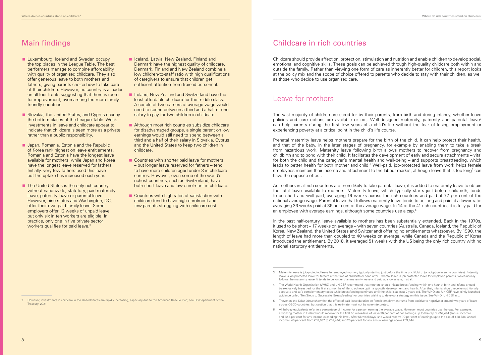### Main findings

- **E** Luxembourg, Iceland and Sweden occupy the top places in the League Table. The best performers manage to combine affordability with quality of organized childcare. They also offer generous leave to both mothers and fathers, giving parents choice how to take care of their children. However, no country is a leader on all four fronts suggesting that there is room for improvement, even among the more familyfriendly countries.
- Slovakia, the United States, and Cyprus occupy the bottom places of the League Table. Weak investments in leave and childcare appear to indicate that childcare is seen more as a private rather than a public responsibility.
- **Japan, Romania, Estonia and the Republic** of Korea rank highest on leave entitlements. Romania and Estonia have the longest leave available for mothers, while Japan and Korea have the longest leave reserved for fathers. Initially, very few fathers used this leave but the uptake has increased each year.
- The United States is the only rich country without nationwide, statutory, paid maternity leave, paternity leave or parental leave. However, nine states and Washington, DC, offer their own paid family leave. Some employers offer 12 weeks of unpaid leave but only six in ten workers are eligible. In practice, only one in five private sector workers qualifies for paid leave.<sup>2</sup>
- Iceland, Latvia, New Zealand, Finland and Denmark have the highest quality of childcare. Denmark, Finland and New Zealand combine a low children-to-staff ratio with high qualifications of caregivers to ensure that children get sufficient attention from trained personnel.
- **E** Ireland, New Zealand and Switzerland have the least affordable childcare for the middle class. A couple of two earners of average wage would need to spend between a third and a half of one salary to pay for two children in childcare.
- Although most rich countries subsidize childcare for disadvantaged groups, a single parent on low earnings would still need to spend between a third and a half of their salary in Slovakia, Cyprus and the United States to keep two children in childcare.
- Countries with shorter paid leave for mothers – but longer leave reserved for fathers – tend to have more children aged under 3 in childcare centres. However, even some of the world's richest countries, such as Switzerland, have both short leave and low enrolment in childcare.
- Countries with high rates of satisfaction with childcare tend to have high enrolment and few parents struggling with childcare cost.

As mothers in all rich countries are more likely to take parental leave, it is added to maternity leave to obtain the total leave available to mothers. Maternity leave, which typically starts just before childbirth, tends to be short and well-paid, averaging 19 weeks across the rich countries and paid at 77 per cent of the national average wage. Parental leave that follows maternity leave tends to be long and paid at a lower rate: averaging 36 weeks paid at 36 per cent of the average wage. In 14 of the 41 rich countries it is fully paid for an employee with average earnings, although some countries use a cap.<sup>6</sup>

#### Childcare in rich countries

Childcare should provide affection, protection, stimulation and nutrition and enable children to develop social, emotional and cognitive skills. These goals can be achieved through high-quality childcare both within and outside the family. Rather than viewing one form of care as inherently better for children, this report looks at the policy mix and the scope of choice offered to parents who decide to stay with their children, as well as those who decide to use organized care.

### Leave for mothers

The vast majority of children are cared for by their parents, from birth and during infancy, whether leave policies and care options are available or not. Well-designed maternity, paternity and parental leave<sup>3</sup> can help parents during the first few years of a child's life without the fear of losing employment or experiencing poverty at a critical point in the child's life course.

Prenatal maternity leave helps mothers prepare for the birth of the child. It can help protect their health, and that of the baby, in the later stages of pregnancy, for example by enabling them to take a break from hazardous work. Maternity leave following birth allows mothers to recover from pregnancy and childbirth and to bond with their child. It facilitates the development of early and secure attachments – vital for both the child and the caregiver's mental health and well-being – and supports breastfeeding, which leads to better health for both mother and child.<sup>4</sup> Well-paid, job-protected leave from work helps female employees maintain their income and attachment to the labour market, although leave that is too long<sup>5</sup> can have the opposite effect.

In the past half-century, leave available to mothers has been substantially extended. Back in the 1970s, it used to be short – 17 weeks on average – with seven countries (Australia, Canada, Iceland, the Republic of Korea, New Zealand, the United States and Switzerland) offering no entitlements whatsoever. By 1990, the length of leave had more than doubled to 40 weeks on average, while Canada and the Republic of Korea introduced the entitlement. By 2018, it averaged 51 weeks with the US being the only rich country with no national statutory entitlements.

- 5 Thevenon and Solaz (2013) show that the effect of paid leave duration on female employment turns from positive to negative at around two years of leave across OECD countries, but caution that this estimate must not be over-interpreted.
- 6 All full-pay equivalents refer to a percentage of income for a person earning the average wage. However, most countries use the cap. For example, a working mother in Finland would receive for the first 56 weekdays of leave 90 per cent of her earnings up to the cap of €59,444 (annual income) and 32.5 per cent for any income exceeding this level. After 56 weekdays, she would receive 70 per cent of earnings up to the cap of €38,636 (annual income); 40 per cent from €38,637 to €59,444; and 25 per cent for any annual earnings above €59,444.

<sup>2</sup> However, investments in childcare in the United States are rapidly increasing, especially due to the American Rescue Plan; see US Department of the Treasury, 2021.

<sup>3</sup> Maternity leave is job-protected leave for employed women, typically starting just before the time of childbirth (or adoption in some countries). Paternity leave is job-protected leave for fathers at the time of childbirth or soon after. Parental leave is job-protected leave for employed parents, which usually follows the maternity leave. It tends to be longer than maternity leave and paid at a lower rate, if at all.

<sup>4</sup> The World Health Organization (WHO) and UNICEF recommend that mothers should initiate breastfeeding within one hour of birth and infants should be exclusively breastfed for the first six months of life to achieve optimal growth, development and health. After that, infants should receive nutritionally adequate and safe complementary foods while breastfeeding continues until the child is at least 2 years old. The WHO and UNICEF have jointly launched guidance called 'Ten Steps to Successful Breastfeeding' for countries wishing to develop a strategy on this issue. See WHO, UNICEF, n.d.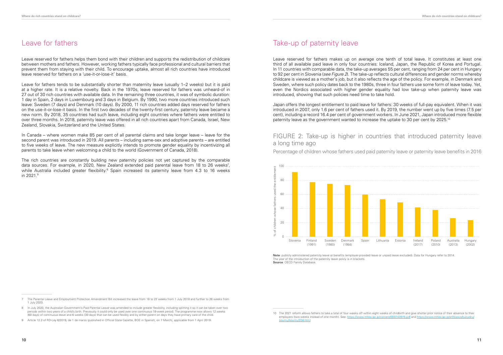### Leave for fathers

Leave reserved for fathers helps them bond with their children and supports the redistribution of childcare between mothers and fathers. However, working fathers typically face professional and cultural barriers that prevent them from staying with their child. To encourage uptake, almost all rich countries have introduced leave reserved for fathers on a 'use-it-or-lose-it' basis.

Leave for fathers tends to be substantially shorter than maternity leave (usually 1–2 weeks) but it is paid at a higher rate. It is a relative novelty. Back in the 1970s, leave reserved for fathers was unheard-of in 27 out of 30 rich countries with available data. In the remaining three countries, it was of symbolic duration: 1 day in Spain, 2 days in Luxembourg and 3 days in Belgium. By 1990, two more countries introduced such leave: Sweden (7 days) and Denmark (10 days). By 2000, 11 rich countries added days reserved for fathers on the use-it-or-lose-it basis. In the first two decades of the twenty-first century, paternity leave became a new norm. By 2018, 35 countries had such leave, including eight countries where fathers were entitled to over three months. In 2018, paternity leave was offered in all rich countries apart from Canada, Israel, New Zealand, Slovakia, Switzerland and the United States.

In Canada – where women make 85 per cent of all parental claims and take longer leave – leave for the second parent was introduced in 2019. All parents – including same-sex and adoptive parents – are entitled to five weeks of leave. The new measure explicitly intends to promote gender equality by incentivizing all parents to take leave when welcoming a child to the world (Government of Canada, 2018).

Japan offers the longest entitlement to paid leave for fathers: 30 weeks of full-pay equivalent. When it was introduced in 2007, only 1.6 per cent of fathers used it. By 2019, the number went up by five times (7.5 per cent), including a record 16.4 per cent of government workers. In June 2021, Japan introduced more flexible paternity leave as the government wanted to increase the uptake to 30 per cent by 2025.<sup>10</sup>

The rich countries are constantly building new paternity policies not yet captured by the comparable data sources. For example, in 2020, New Zealand extended paid parental leave from 18 to 26 weeks<sup>7</sup>, while Australia included greater flexibility. $^8$  Spain increased its paternity leave from 4.3 to 16 weeks in 2021.9

**Note**: publicly administered paternity leave or benefits (employer-provided leave or unpaid leave excluded). Data for Hungary refer to 2014. The year of the introduction of the paternity leave policy is in brackets. **Source: OECD Family Database** 

#### Take-up of paternity leave

Leave reserved for fathers makes up on average one tenth of total leave. It constitutes at least one third of all available paid leave in only four countries: Iceland, Japan, the Republic of Korea and Portugal. In 11 countries with comparable data, the take-up averages 55 per cent, ranging from 24 per cent in Hungary to 92 per cent in Slovenia (*see Figure 2*). The take-up reflects cultural differences and gender norms whereby childcare is viewed as a mother's job, but it also reflects the age of the policy. For example, in Denmark and Sweden, where such policy dates back to the 1980s, three in four fathers use some form of leave today. Yet, even the Nordics associated with higher gender equality had low take-up when paternity leave was introduced, showing that such policies need time to take hold.

#### FIGURE 2: Take-up is higher in countries that introduced paternity leave a long time ago

Percentage of children whose fathers used paid paternity leave or paternity leave benefits in 2016



<sup>7</sup> The Parental Leave and Employment Protection Amendment Bill increased the leave from 18 to 22 weeks from 1 July 2018 and further to 26 weeks from 1 July 2020.

<sup>10</sup> The 2021 reform allows fathers to take a total of four weeks off within eight weeks of childbirth and give shorter prior notice of their absence to their employers (two weeks instead of one month). See: https: [soumu/houritu/204.html](https://www.mhlw.go.jp/stf/topics/bukyoku/soumu/houritu/204.html)

<sup>8</sup> In July 2020, the Australian Government's Paid Parental Leave was amended to include greater flexibility, including splitting it so it can be taken over two periods within two years of a child's birth. Previously it could only be used over one continuous 18-week period. The programme now allows 12 weeks (60 days) of continuous leave and 6 weeks (30 days) that can be used flexibly and by either parent on days they have primary care of the child.

<sup>9</sup> Article 12.2 of RD-Ley 6/2019, de 1 de marzo (published in Official State Gazette, BOE in Spanish, on 7 March), applicable from 1 April 2019.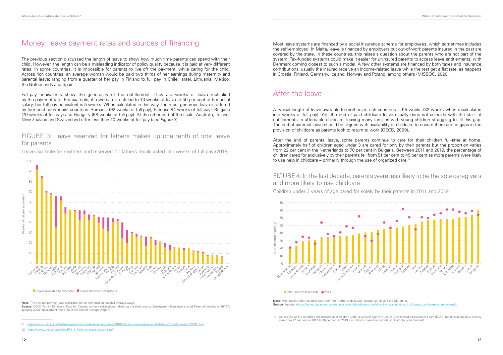### Money: leave payment rates and sources of financing

The previous section discussed the length of leave to show how much time parents can spend with their child. However, the length can be a misleading indicator of policy quality because it is paid at very different rates. In some countries, it is impossible for parents to live off the payment, while caring for the child. Across rich countries, an average woman would be paid two thirds of her earnings during maternity and parental leave: ranging from a quarter of her pay in Finland to full pay in Chile, Israel, Lithuania, Mexico, the Netherlands and Spain.

**Note:** The average payment rate calculated for an individual on national average wage. Source: OECD Family Database. Data for Canada: authors calculations reflecting the extension to Employment Insurance shared Parental benefits in 2019<sup>11</sup> applying a net replacement rate of 53.2 per cent of average wage<sup>12</sup>

11 https://www.canada.ca/en/employment-social-development/news/2018/09/new-five-week-parental-sharing-to-start-in-march-2019.html

Full-pay equivalents show the generosity of the entitlement. They are weeks of leave multiplied by the payment rate. For example, if a woman is entitled to 10 weeks of leave at 50 per cent of her usual salary, her full-pay equivalent is 5 weeks. When calculated in this way, the most generous leave is offered by four post-communist countries: Romania (92 weeks of full pay), Estonia (84 weeks of full pay), Bulgaria (70 weeks of full pay) and Hungary (68 weeks of full pay). At the other end of the scale, Australia, Ireland, New Zealand and Switzerland offer less than 10 weeks of full pay (*see Figure 3*).

#### FIGURE 3: Leave reserved for fathers makes up one tenth of total leave for parents

Leave available for mothers and reserved for fathers recalculated into weeks of full pay (2018)



Leave available to mothers Leave reserved for fathers

After the end of parental leave, some parents continue to care for their children full-time at home. Approximately half of children aged under 3 are cared for only by their parents but the proportion varies from 22 per cent in the Netherlands to 70 per cent in Bulgaria. Between 2011 and 2019, the percentage of children cared for exclusively by their parents fell from 51 per cent to 45 per cent as more parents were likely to use help in childcare – primarily through the use of organized care.<sup>13</sup>

**Note**: Most recent refers to 2019 apart from the Netherlands (2020), Iceland (2018) and the UK (2018). **Source:** Eurostat (https://ec.

Most leave systems are financed by a social insurance scheme for employees, which sometimes includes the self-employed. In Malta, leave is financed by employers but out-of-work parents insured in the past are covered by the state. In these countries, this raises a question about the parents who are not part of the system. Tax-funded systems could make it easier for uninsured parents to access leave entitlements, with Denmark coming closest to such a model. A few other systems are financed by both taxes and insurance contributions: usually the insured receive an income-related leave while the rest get a flat rate, as happens in Croatia, Finland, Germany, Iceland, Norway and Poland, among others (MISSOC, 2020).

### After the leave

A typical length of leave available to mothers in rich countries is 55 weeks (32 weeks when recalculated into weeks of full pay). Yet, the end of paid childcare leave usually does not coincide with the start of entitlements to affordable childcare, leaving many families with young children struggling to fill this gap. The end of parental leave should be aligned with availability of childcare to ensure there are no gaps in the provision of childcare as parents look to return to work (OECD, 2009).

#### FIGURE 4: In the last decade, parents were less likely to be the sole caregivers and more likely to use childcare

Children under 3 years of age cared for solely by their parents in 2011 and 2019



2019 (or most recent) 2011

<sup>12</sup> https://www.oecd.org/els/soc/PF2\_1\_Parental\_leave\_systems.pdf

<sup>13</sup> Across the 28 EU countries, the proportion of children under 3 years of age who use early childhood education and care (ECEC) for at least one hour weekly rose from 27 per cent in 2012 to 36 per cent in 2019 (calculations based on Eurostat indicator [ilc\_caindformal])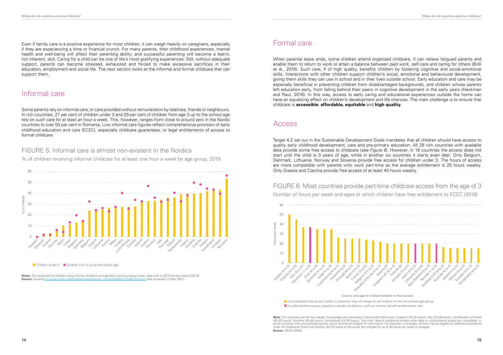Even if family care is a positive experience for most children, it can weigh heavily on caregivers, especially if they are experiencing a time or financial crunch. For many parents, their childhood experiences, mental health and well-being will affect their parenting ability; and successful parenting will become a learnt, not inherent, skill. Caring for a child can be one of life's most gratifying experiences. Still, without adequate support, parents can become stressed, exhausted and forced to make excessive sacrifices in their education, employment and social life. The next section looks at the informal and formal childcare that can support them.

### Informal care

Some parents rely on informal care, or care provided without remuneration by relatives, friends or neighbours. In rich countries, 27 per cent of children under 3 and 29 per cent of children from age 3 up to the school age rely on such care for at least an hour a week. This, however, ranges from close to around zero in the Nordic countries to over 50 per cent in Romania. Low informal care figures reflect comprehensive provision of early childhood education and care (ECEC), especially childcare guarantees, or legal entitlements of access to formal childcare.

#### FIGURE 5: Informal care is almost non-existent in the Nordics

% of children receiving informal childcare for at least one hour a week by age group, 2019

■ Children under 3 ● Children from 3 up to the school age

When parental leave ends, some children attend organized childcare. It can relieve fatigued parents and enable them to return to work or attain a balance between paid work, self-care and caring for others (Brilli et al., 2016). Such care, if of high quality, benefits children by fostering cognitive and social-emotional skills. Interactions with other children support children's social, emotional and behavioural development, giving them skills they can use in school and in their lives outside school. Early education and care may be especially beneficial in preventing children from disadvantaged backgrounds, and children whose parents left education early, from falling behind their peers in cognitive development in the early years (Heckman and Raut, 2016). In this way, access to early caring and educational experiences outside the home can have an equalizing effect on children's development and life chances. The main challenge is to ensure that childcare is **accessible**, **affordable, equitable** and **high quality**.



**Notes:** The proportion of children using informal childcare arrangements during a typical week; data refer to 2019 except Iceland (2018). **Source:** Eurostat [ec.europa.eu/eurostat/databrowser/view/ilc\\_caindother/default/table?lang=en](https://ec.europa.eu/eurostat/databrowser/view/ilc_caindother/default/table?lang=en) (last accessed 13 May 2021).

### Formal care

#### Access

Target 4.2 set out in the Sustainable Development Goals mandates that all children should have access to quality early childhood development, care and pre-primary education. All 28 rich countries with available data provide some free access to childcare (*see Figure 6*). However, in 16 countries the access does not start until the child is 3 years of age, while in another six countries it starts even later. Only Belgium, Denmark, Lithuania, Norway and Slovenia provide free access for children under 3. The hours of access are more compatible with parents who work part-time as the average entitlement is 25 hours weekly. Only Greece and Czechia provide free access of at least 40 hours weekly.

FIGURE 6: Most countries provide part-time childcare access from the age of 3 Number of hours per week and ages at which children have free entitlement to ECEC (2018)



Country and age of children entitled to free access

 $\blacksquare$  Conditional free access, based on certain conditions, such as income, benefit entitlements, etc. **Unconditional free access refers to provision free of charge for all children of the concerned age group.** 

**Note:** For countries with an hour range, the average was calculated: Czechia (32.5–60 hours), England (15–32 hours), Italy (25–50 hours), the Republic of Korea (20–25 hours), Slovenia (30–45 hours), Switzerland (10–20 hours). This chart reports conditional access when data on unconditional access are unavailable. In some countries with unconditional access, some families are eligible for extra hours. For example, in Australia, families may be eligible for additional assistance under the Additional Child Care Subsidy (ACCS) equal to the actual fee charged for up to 50 hours per week on average. **Source**: OECD (2020).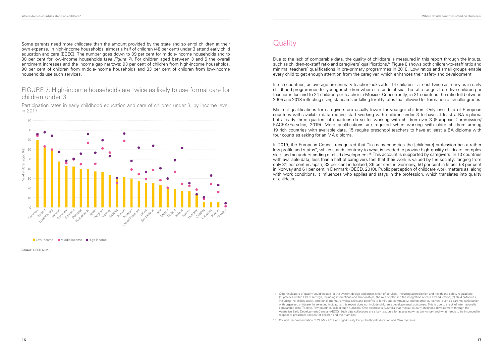Some parents need more childcare than the amount provided by the state and so enrol children at their own expense. In high-income households, almost a half of children (48 per cent) under 3 attend early child education and care (ECEC). The number goes down to 39 per cent for middle-income households and to 30 per cent for low-income households (*see Figure 7*). For children aged between 3 and 5 the overall enrolment increases and the income gap narrows: 93 per cent of children from high-income households, 90 per cent of children from middle-income households and 83 per cent of children from low-income households use such services.

#### FIGURE 7: High-income households are twice as likely to use formal care for children under 3

Due to the lack of comparable data, the quality of childcare is measured in this report through the inputs, such as children-to-staff ratio and caregivers' qualifications.14 Figure 8 shows both children-to-staff ratio and minimal teachers' qualifications in pre-primary programmes in 2018. Low ratios and small groups enable every child to get enough attention from the caregiver, which enhances their safety and development.

Participation rates in early childhood education and care of children under 3, by income level, in 2017



Low income Middle income High income

**Source**: OECD (2020).

### **Quality**

In 2019, the European Council recognized that "in many countries the [childcare] profession has a rather low profile and status", which stands contrary to what is needed to provide high-quality childcare: complex skills and an understanding of child development.15 This account is supported by caregivers. In 13 countries with available data, less than a half of caregivers feel that their work is valued by the society: ranging from only 31 per cent in Japan, 33 per cent in Iceland, 36 per cent in Germany, 56 per cent in Israel, 58 per cent in Norway and 61 per cent in Denmark (OECD, 2018). Public perception of childcare work matters as, along with work conditions, it influences who applies and stays in the profession, which translates into quality of childcare.

In rich countries, an average pre-primary teacher looks after 14 children – almost twice as many as in early childhood programmes for younger children where it stands at six. The ratio ranges from five children per teacher in Iceland to 24 children per teacher in Mexico. Concurrently, in 21 countries the ratio fell between 2005 and 2018 reflecting rising standards or falling fertility rates that allowed for formation of smaller groups.

Minimal qualifications for caregivers are usually lower for younger children. Only one third of European countries with available data require staff working with children under 3 to have at least a BA diploma but already three quarters of countries do so for working with children over 3 (European Commission/ EACEA/Eurydice, 2019). More qualifications are required when working with older children: among 19 rich countries with available data, 15 require preschool teachers to have at least a BA diploma with four countries asking for an MA diploma.

<sup>14</sup> Other indicators of quality could include (a) the system design and organization of services, including accreditation and health and safety regulations; (b) practice within ECEC settings, including interactions and relationships, the role of play and the integration of care and education; (c) child outcomes, including the child's social, emotional, mental, physical skills and benefits to family and community; and (d) other outcomes, such as parents' satisfaction with organized childcare. In selecting indicators, this report does not include children's developmental outcomes. This is due to a lack of internationally comparable data. To date, few countries collect such numbers. One example is Australia that measures early childhood development through the Australian Early Development Census (AEDC). Such data collections are a key resource for assessing what works well and what needs to be improved in respect to preschool policies for children and their families.

<sup>15</sup> Council Recommendation of 22 May 2019 on High-Quality Early Childhood Education and Care Systems.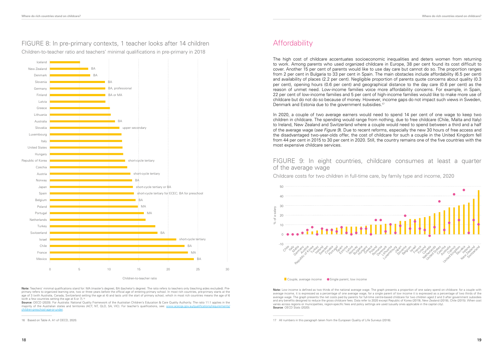#### FIGURE 8: In pre-primary contexts, 1 teacher looks after 14 children Children-to-teacher ratio and teachers' minimal qualifications in pre-primary in 2018

**Note:** Teachers' minimal qualifications stand for: MA (master's degree), BA (bachelor's degree). The ratio refers to teachers only (teaching aides excluded). Preprimary refers to organized learning one, two or three years before the official age of entering primary school. In most rich countries, pre-primary starts at the age of 3 (with Australia, Canada, Switzerland setting the age at 4) and lasts until the start of primary school, which in most rich countries means the age of 6 (with a few countries setting the age at 5 or 7).<sup>16</sup>

Children-to-teacher ratio BA MA **B** short-cycle tertiary BA MA MA BA short-cycle tertiary for ECEC; BA for preschool short-cycle tertiary or BA BA short-cycle tertiary short-cycle tertiary upper secondary BA BA or MA BA, professional  $B$  $R/$ **BA** 0 5 10 15 20 25 30 Mexico France Chile Israel Switzerland Turkey **Netherlands** Portuga Poland Belgium Spair Japan Norway Austria Czechia Republic of Korea Hungary United States Italy Luxembourg Slovakia Australia Lithuania Greece Latvia Finland **Germany** Slovenia Denmark New Zealand Iceland

The high cost of childcare accentuates socioeconomic inequalities and deters women from returning to work. Among parents who used organized childcare in Europe, 38 per cent found its cost difficult to cover. Another 15 per cent of parents would like to use day care but cannot do so. The proportion ranges from 2 per cent in Bulgaria to 33 per cent in Spain. The main obstacles include affordability (6.5 per cent) and availability of places (2.2 per cent). Negligible proportion of parents quote concerns about quality (0.3 per cent), opening hours (0.6 per cent) and geographical distance to the day care (0.6 per cent) as the reason of unmet need. Low-income families voice more affordability concerns. For example, in Spain, 22 per cent of low-income families and 5 per cent of high-income families would like to make more use of childcare but do not do so because of money. However, income gaps do not impact such views in Sweden, Denmark and Estonia due to the government subsidies.<sup>17</sup>

**Source:** OECD (2020). For Australia: National Quality Framework of the Australian Children's Education & Care Quality Authority. The ratio 11:1 applies in the majority of the Australian states and territories (ACT, NT, QLD, SA, VIC). For teacher's qualifications, see: www.a [children-preschool-age-or-under](www.acecqa.gov.au/qualifications/requirements/children-preschool-age-or-under).

16 Based on Table A. A1 of OECD, 2020.

### **Affordability**

In 2020, a couple of two average earners would need to spend 14 per cent of one wage to keep two children in childcare. The spending would range from nothing, due to free childcare (Chile, Malta and Italy) to Ireland, New Zealand and Switzerland where a couple would need to spend between a third and a half of the average wage (*see [Figure](#page-9-0) 9*). Due to recent reforms, especially the new 30 hours of free access and the disadvantaged two-year-olds offer, the cost of childcare for such a couple in the United Kingdom fell from 44 per cent in 2015 to 30 per cent in 2020. Still, the country remains one of the five countries with the most expensive childcare services.

#### <span id="page-9-0"></span>FIGURE 9: In eight countries, childcare consumes at least a quarter of the average wage



**Note:** Low income is defined as two thirds of the national average wage. The graph presents a proportion of one salary spend on childcare: for a couple with average income, it is expressed as a percentage of one average wage, for a single parent of low income it is expressed as a percentage of two thirds of the average wage. The graph presents the net costs paid by parents for full-time centre-based childcare for two children aged 2 and 3 after government subsidies and any benefits designed to reduce the gross childcare fees. Data refer to 2020 except Republic of Korea (2019), New Zealand (2018), Chile (2015). When cost varies across regions or municipalities, region-specific fees and policy settings are used (usually ones applicable in the capital city). **Source**: OECD Stats (2020).

<sup>17</sup> All numbers in this paragraph taken from the European Quality of Life Surveys (2016).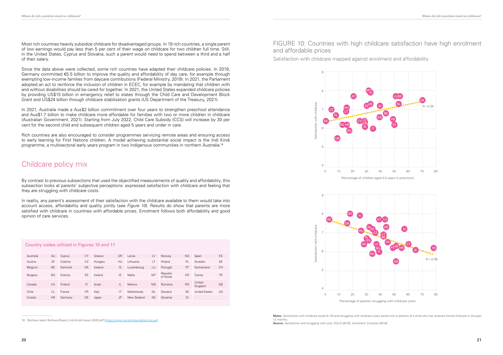Most rich countries heavily subsidize childcare for disadvantaged groups. In 19 rich countries, a single parent of low earnings would pay less than 5 per cent of their wage on childcare for two children full time. Still, in the United States, Cyprus and Slovakia, such a parent would need to spend between a third and a half of their salary.

Since the data above were collected, some rich countries have adapted their childcare policies. In 2019, Germany committed €5.5 billion to improve the quality and affordability of day care, for example through exempting low-income families from daycare contributions (Federal Ministry, 2019). In 2021, the Parliament adopted an act to reinforce the inclusion of children in ECEC, for example by mandating that children with and without disabilities should be cared for together. In 2021, the United States expanded childcare policies by providing US\$15 billion in emergency relief to states through the Child Care and Development Block Grant and US\$24 billion through childcare stabilization grants (US Department of the Treasury, 2021).

In 2021, Australia made a Aus\$2 billion commitment over four years to strengthen preschool attendance and Aus\$1.7 billion to make childcare more affordable for families with two or more children in childcare (Australian Government, 2021). Starting from July 2022, Child Care Subsidy (CCS) will increase by 30 per cent for the second child and subsequent children aged 5 years and under in care.

> **Notes**: Satisfaction with childcare (scale 0–10) and struggling with childcare costs asked only to parents of a child who has received formal childcare in the past 12 months. **Source:** Satisfaction and struggling with cost: EQLS (2016); enrolment: Eurostat (2018).

Rich countries are also encouraged to consider programmes servicing remote areas and ensuring access to early learning for First Nations children. A model achieving substantial social impact is the Indi Kindi programme, a multisectoral early years program in two Indigenous communities in northern Australia.18

### Childcare policy mix

By contrast to previous subsections that used the objectified measurements of quality and affordability, this subsection looks at parents' subjective perceptions: expressed satisfaction with childcare and feeling that they are struggling with childcare costs.

In reality, any parent's assessment of their satisfaction with the childcare available to them would take into account access, affordability and quality jointly (*see Figure 10*). Results do show that parents are more satisfied with childcare in countries with affordable prices. Enrolment follows both affordability and good opinion of care services.

18 Barhava report Barhava-Report\_Indi-Kindi-Impact-2020.pdf [\(https://www.moriartyfoundation.org.au/](https://www.moriartyfoundation.org.au/))

#### FIGURE 10: Countries with high childcare satisfaction have high enrolment and affordable prices

Satisfaction with childcare mapped against enrolment and affordability





#### Country codes utilized in Figures 10 and 11

| Australia | AU        | Cyprus  | CY        | Greece  | GR           | Latvia      | LV             | Norway               | N <sub>O</sub> | Spain                | ES        |
|-----------|-----------|---------|-----------|---------|--------------|-------------|----------------|----------------------|----------------|----------------------|-----------|
| Austria   | AT        | Czechia | CZ        | Hungary | HU           | Lithuania   | LТ             | Poland               | PL             | Sweden               | <b>SE</b> |
| Belgium   | <b>BE</b> | Denmark | DK        | Iceland | <b>IS</b>    | Luxembourg  | LU             | Portugal             | PT             | Switzerland          | <b>CH</b> |
| Bulgaria  | <b>BG</b> | Estonia | EF        | Ireland | IE           | Malta       | MT             | Republic<br>of Korea | <b>KR</b>      | Turkey               | <b>TR</b> |
| Canada    | CA        | Finland | FI        | Israel  | ΙL           | Mexico      | <b>MX</b>      | Romania              | R <sub>O</sub> | United<br>Kingdom    | GB        |
| Chile     | C.        | France  | <b>FR</b> | Italy   | $\mathsf{I}$ | Netherlands | N <sub>L</sub> | Slovakia             | <b>SK</b>      | <b>United States</b> | US        |
| Croatia   | <b>HR</b> | Germany | DE        | Japan   | <b>JP</b>    | New Zealand | <b>NZ</b>      | Slovenia             | SI             |                      |           |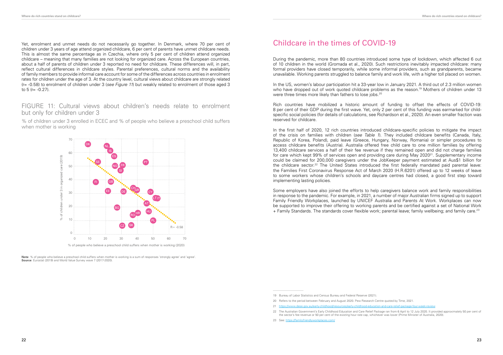Yet, enrolment and unmet needs do not necessarily go together. In Denmark, where 70 per cent of children under 3 years of age attend organized childcare, 6 per cent of parents have unmet childcare needs. This is almost the same percentage as in Czechia, where only 5 per cent of children attend organized childcare – meaning that many families are not looking for organized care. Across the European countries, about a half of parents of children under 3 reported no need for childcare. These differences will, in part, reflect cultural differences in childcare styles. Parental preferences, cultural norms and the availability of family members to provide informal care account for some of the differences across countries in enrolment rates for children under the age of 3. At the country level, cultural views about childcare are strongly related (r= -0.58) to enrolment of children under 3 (*see [Figure](#page-11-0) 11*) but weakly related to enrolment of those aged 3 to  $5$  (r=  $-0.27$ ).

**Note**: % of people who believe a preschool child suffers when mother is working is a sum of responses 'strongly agree' and 'agree' **Source**: Eurostat (2019) and World Value Survey wave 7 (2017-2020).

In the US, women's labour participation hit a 33-year low in January 2021. A third out of 2.3 million women who have dropped out of work quoted childcare problems as the reason.<sup>19</sup> Mothers of children under 13 were three times more likely than fathers to lose iobs.<sup>20</sup>

#### <span id="page-11-0"></span>FIGURE 11: Cultural views about children's needs relate to enrolment but only for children under 3

% of children under 3 enrolled in ECEC and % of people who believe a preschool child suffers when mother is working



### Childcare in the times of COVID-19

During the pandemic, more than 80 countries introduced some type of lockdown, which affected 6 out of 10 children in the world (Gromada et al., 2020). Such restrictions inevitably impacted childcare: many formal providers have closed temporarily, while some informal providers, such as grandparents, became unavailable. Working parents struggled to balance family and work life, with a higher toll placed on women.

Rich countries have mobilized a historic amount of funding to offset the effects of COVID-19: 8 per cent of their GDP during the first wave. Yet, only 2 per cent of this funding was earmarked for childspecific social policies (for details of calculations, see Richardson et al., 2020). An even smaller fraction was reserved for childcare.

In the first half of 2020, 12 rich countries introduced childcare-specific policies to mitigate the impact of the crisis on families with children (*see Table 1*). They included childcare benefits (Canada, Italy, Republic of Korea, Poland), paid leave (Greece, Hungary, Norway, Romania) or simpler procedures to access childcare benefits (Austria). Australia offered free child care to one million families by offering 13,400 childcare services a half of their fee revenue if they remained open and did not charge families for care which kept 99% of services open and providing care during May 2020<sup>21</sup>. Supplementary income could be claimed for 200,000 caregivers under the JobKeeper payment estimated at Aus\$1 billion for the childcare sector.<sup>22</sup> The United States introduced the first federally mandated paid parental leave: the Families First Coronavirus Response Act of March 2020 (H.R.6201) offered up to 12 weeks of leave to some workers whose children's schools and daycare centres had closed, a good first step toward implementing lasting policies.

Some employers have also joined the efforts to help caregivers balance work and family responsibilities in response to the pandemic. For example, in 2021, a number of major Australian firms signed up to support Family Friendly Workplaces, launched by UNICEF Australia and Parents At Work. Workplaces can now be supported to improve their offering to working parents and be certified against a set of National Work + Family Standards. The standards cover flexible work; parental leave; family wellbeing; and family care.23

<sup>22</sup> The Australian Government's Early Childhood Education and Care Relief Package ran from 6 April to 12 July 2020. It provided approximately 50 per cent of the sector's fee revenue or 50 per cent of the existing hour rate cap, whichever was lower (Prime Minister of Australia, 2020).

<sup>23</sup> See: https://familyfriendlyworkplaces.com/

<sup>19</sup> Bureau of Labor Statistics and Census Bureau and Federal Reserve (2021).

<sup>20</sup> Refers to the period between February and August 2020. Pew Research Centre quoted by Time, 2021.

<sup>21</sup> <https://www.dese.gov.au/early-childhood/resources/early-childhood-education-and-care-relief-package-four-week-review>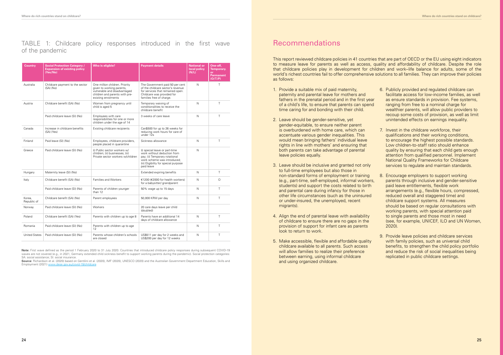TABLE 1: Childcare policy responses introduced in the first wave of the pandemic

| Country                                                                                 | <b>Social Protection Category /</b><br>Who is eligible?<br><b>Payment details</b><br><b>Expansion of existing policy</b><br>(Yes/No) |                                                                                                                                                      | <b>National or</b><br>local policy<br>(N/L)                                                                                                                                           | One-off,<br>Temporary.<br><b>or</b><br><b>Permanent</b><br>(O/T/P) |         |
|-----------------------------------------------------------------------------------------|--------------------------------------------------------------------------------------------------------------------------------------|------------------------------------------------------------------------------------------------------------------------------------------------------|---------------------------------------------------------------------------------------------------------------------------------------------------------------------------------------|--------------------------------------------------------------------|---------|
| Australia                                                                               | Childcare payment to the sector<br>(SA) (No)                                                                                         | One million children. Priority<br>given to working parents,<br>vulnerable and disadvantaged<br>children and parents with pre-<br>existing enrolments | The Government paid 50 per cent<br>of the childcare sector's revenue<br>for services that remained open.<br>Childcare was provided for<br>families free of charge.                    | N                                                                  | Τ       |
| Austria                                                                                 | Childcare benefit (SA) (No)                                                                                                          | Women from pregnancy until<br>child is aged 5                                                                                                        | Temporary waiving of<br>conditionalities to receive the<br>childcare benefit                                                                                                          | N                                                                  | T       |
|                                                                                         | Paid childcare leave (SI) (No)                                                                                                       | Employees with care<br>responsibilities for one or more<br>children under the age of 14                                                              | 3 weeks of care leave                                                                                                                                                                 | N                                                                  | T       |
| Canada<br>Increase in childcare benefits<br>Existing childcare recipients<br>(SA) (Yes) |                                                                                                                                      | Can\$500 for up to 26 weeks for<br>reducing work hours for care of<br>under 12s                                                                      |                                                                                                                                                                                       |                                                                    |         |
| Finland                                                                                 | Paid leave (SI) (No)                                                                                                                 | Employees, childcare providers,<br>people placed in quarantine                                                                                       | Sickness allowance                                                                                                                                                                    | N                                                                  | $\top$  |
| Greece                                                                                  | Paid childcare leave (SI) (No)                                                                                                       | (i) Public sector workers w/<br>children; (ii) businesses; (iii)<br>Private sector workers w/children                                                | (i) special leave or part-time<br>work without deduction from<br>pay; (ii) Temporary rotational<br>work scheme was introduced;<br>(iii) Eligibility for special purpose<br>paid leave | $\mathsf{N}$                                                       |         |
| Hungary                                                                                 | Maternity leave (SI) (No)                                                                                                            |                                                                                                                                                      | Extended expiring benefits                                                                                                                                                            | N                                                                  | $\top$  |
| Italy                                                                                   | Childcare benefit (SA) (No)                                                                                                          | Families and Workers                                                                                                                                 | €1200 (€2000 for health workers)<br>for a babysitter/ grandparent                                                                                                                     | N                                                                  | $\circ$ |
|                                                                                         | Paid childcare leave (SI) (No)                                                                                                       | Parents of children younger<br>than 12                                                                                                               | 50% wage up to 15 days                                                                                                                                                                | N                                                                  | T.      |
| Korea.<br>Republic of                                                                   | Childcare benefit (SA) (No)                                                                                                          | Parent employees                                                                                                                                     | 50,000 KRW per day                                                                                                                                                                    | $\mathsf{N}$                                                       | T       |
| Norway                                                                                  | Paid childcare leave (SI) (No)                                                                                                       | Workers                                                                                                                                              | 20 care days leave per child<br>(doubled)                                                                                                                                             |                                                                    |         |
| Poland<br>Childcare benefit (SA) (Yes)                                                  |                                                                                                                                      | Parents with children up to age 8                                                                                                                    | Parents have an additional 14<br>days of childcare allowance                                                                                                                          | N                                                                  | T       |
| Romania                                                                                 | Paid childcare leave (SI) (No)<br>Parents with children up to age<br>12                                                              |                                                                                                                                                      |                                                                                                                                                                                       | N                                                                  | T       |
| <b>United States</b><br>Paid childcare leave (SI) (No)                                  |                                                                                                                                      | Parents whose children's schools<br>are closed                                                                                                       | US\$511 per day for 2 weeks and<br>US\$200 per day for 12 weeks                                                                                                                       | N                                                                  | T       |

**Source**: Richardson et al. (2020) based on Gentilini et al. (2020), IMF (2020), UNESCO (2020) and the Australian Government Department Education, Skills and Employment (2021) www.dese.gov.au/covid-19/c

**Note:** First wave defined as the period 1 February 2020 to 31 July 2020. Countries that introduced childcare policy responses during subsequent COVID-19 waves are not covered (e.g., in 2021, Germany extended child sickness benefit to support working parents during the pandemic). Social protection categories: SA: social assistance; SI: social insurance.

### Recommendations

This report reviewed childcare policies in 41 countries that are part of OECD or the EU using eight indicators to measure leave for parents as well as access, quality and affordability of childcare. Despite the role that childcare policies play in development for children and work–life balance for adults, some of the world's richest countries fail to offer comprehensive solutions to all families. They can improve their policies as follows:

- 1. Provide a suitable mix of paid maternity, paternity and parental leave for mothers and fathers in the prenatal period and in the first year of a child's life, to ensure that parents can spend time caring for and bonding with their child. 2. Leave should be gender-sensitive, yet 6. Publicly provided and regulated childcare can facilitate access for low-income families, as well as ensure standards in provision. Fee systems, ranging from free to a nominal charge for wealthier parents, will allow public providers to recoup some costs of provision, as well as limit unintended effects on earnings inequality.
- gender-equitable, to ensure neither parent is overburdened with home care, which can accentuate various gender inequalities. This would mean bringing fathers' individual leave rights in line with mothers' and ensuring that both parents can take advantage of parental leave policies equally.
- 3. Leave should be inclusive and granted not only to full-time employees but also those in non-standard forms of employment or training (e.g., part-time, self-employed, informal workers, students) and support the costs related to birth and parental care during infancy for those in other life circumstances (such as the uninsured or under-insured, the unemployed, recent migrants).
- 4. Align the end of parental leave with availability of childcare to ensure there are no gaps in the provision of support for infant care as parents look to return to work.
- 5. Make accessible, flexible and affordable quality childcare available to all parents. Such access will allow families to realize their preference between earning, using informal childcare and using organized childcare.
- 7. Invest in the childcare workforce, their qualifications and their working conditions, to encourage the highest possible standards. Low children-to-staff ratio should enhance quality by ensuring that each child gets enough attention from qualified personnel. Implement National Quality Frameworks for Childcare services to regulate and maintain standards.
- 8. Encourage employers to support working parents through inclusive and gender-sensitive paid leave entitlements, flexible work arrangements (e.g., flexible hours, compressed, reduced overall and staggered time) and childcare support systems. All measures should be based on regular consultations with working parents, with special attention paid to single parents and those most in need (see, for example, UNICEF, ILO and UN Women, 2020).
- 9. Provide leave policies and childcare services with family policies, such as universal child benefits, to strengthen the child policy portfolio and reduce the risk of social inequalities being replicated in public childcare settings.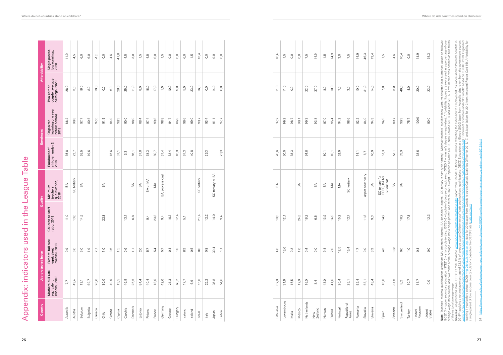| upper secondary<br>professional<br>tertiary or BA<br>SC tertiary for<br>ECEC; BA for<br>preschool<br>tertiary<br>SC tertiary<br>SC tertiary<br>BA or MA<br>Minimum<br>teachers'<br>qualification,<br>2018<br>$\lessapprox$<br>$\lessgtr$<br>$\mathbbm{B}$<br>$\lessgtr$<br>$\mathbbm{S}$<br>$\mathbbm{B}$<br>$\mathbbm{B} \mathbbm{A}$<br>$\mathbbm{S} \mathbbm{A}$<br>$\mathbbm{B} \mathbbm{A}$<br>$\mathbbm{B}$<br>$\mathbbm{S}$<br>$\mathbb S$<br>$\mathbbm{B}$<br>$\mathbb{E}$<br>$\mathbb{E}$<br>SC<br>ВA,<br>SC<br>14,0<br>13,6<br>10,2<br>12,4<br>21,4<br>12,2<br>10,3<br>13,9<br>14,9<br>15,9<br>$11,0$<br>14,5<br>22,8<br>23,3<br>12,1<br>24,3<br>16,2<br>11,8<br>14,2<br>18,2<br>17,8<br>13,1<br>12,7<br>6,5<br>9,4<br>9,4<br>6,8<br>$9\frac{4}{1}$<br>5,1<br>9,3<br>30,4<br>12,5<br>10,8<br>13,6<br>15,4<br>$\overline{1}$ , 0<br>$\frac{1}{2}$<br>2,0<br>0,5<br>O, O<br>9,4<br>2,0<br>0,9<br>5,0<br>$\frac{5}{1}$<br>2.7<br>ვ.<br>ვ<br>0,6<br>$\sum$<br>5,4<br>0,4<br>1,0<br><u>တ်</u><br>O, O<br>0,8<br>4,0<br>$\overline{1}$ , 0<br>$0\overline{4}$<br>4,7<br>$O_0$<br>ာ့<br>4,3<br>O, O<br>$\overline{1}$<br>6,6<br>5,7<br>5,7<br>$\mathbb{L}$<br>0,2<br>0,4<br>18,0<br>42,6<br>21,3<br>35,8<br>51,6<br>34,6<br>26,6<br>13,5<br>84,4<br>40,4<br>68,2<br>15,0<br>25,2<br>12,0<br>41,6<br>16,0<br>10, 7<br>49,4<br>13,1<br>69,7<br>30,0<br>40,9<br>46,9<br>26,5<br>$17.7$<br>62,0<br>31,6<br>15,5<br>16,0<br>43,0<br>20,4<br>92,4<br>48,4<br>11,7<br>25,1<br>53,1<br>6,9<br>8 <sub>4</sub><br>8 <sub>2</sub><br>7,7<br>Luxembourg<br>Netherlands<br>Switzerland<br>$\sigma$<br>Denmark<br>Germany<br>United<br>Kingdom<br>Lithuania<br>Republic<br>Korea<br>Romania<br>Australia<br>Hungary<br>Slovenia<br>Portugal<br>Sweden<br>Belgium<br>Slovakia<br>Bulgaria<br>New<br>Zealand<br>Czechia<br>Norway<br>Canada<br>Estonia<br>Greece<br>Iceland<br>Mexico<br>Cyprus<br>Finland<br>Austria<br>Croatia<br>Poland<br>France<br>Ireland<br>Turkey<br>Japan<br>Latvia<br>Israel<br>Malta<br>Spain<br>Chile<br>$\sqrt{\mathsf{left}}$ |                | Organized<br>learning one year<br>before school,<br>2018 | Two-earner<br>couple, average<br>earnings, 2020 | Single parent,<br>Iow earnings,<br>2020       |
|------------------------------------------------------------------------------------------------------------------------------------------------------------------------------------------------------------------------------------------------------------------------------------------------------------------------------------------------------------------------------------------------------------------------------------------------------------------------------------------------------------------------------------------------------------------------------------------------------------------------------------------------------------------------------------------------------------------------------------------------------------------------------------------------------------------------------------------------------------------------------------------------------------------------------------------------------------------------------------------------------------------------------------------------------------------------------------------------------------------------------------------------------------------------------------------------------------------------------------------------------------------------------------------------------------------------------------------------------------------------------------------------------------------------------------------------------------------------------------------------------------------------------------------------------------------------------------------------------------------------------------------------------------------------------------------------------------------------------------------------------------------------------------------------------------------------------------------------------------------------------------------------------------------------------------------------------------------------------------------------------------------------------------------------|----------------|----------------------------------------------------------|-------------------------------------------------|-----------------------------------------------|
|                                                                                                                                                                                                                                                                                                                                                                                                                                                                                                                                                                                                                                                                                                                                                                                                                                                                                                                                                                                                                                                                                                                                                                                                                                                                                                                                                                                                                                                                                                                                                                                                                                                                                                                                                                                                                                                                                                                                                                                                                                                | 35,8           | 86,2                                                     | 28,0                                            | 11,9                                          |
|                                                                                                                                                                                                                                                                                                                                                                                                                                                                                                                                                                                                                                                                                                                                                                                                                                                                                                                                                                                                                                                                                                                                                                                                                                                                                                                                                                                                                                                                                                                                                                                                                                                                                                                                                                                                                                                                                                                                                                                                                                                | 22,7           | 99,8                                                     | 3,0                                             | 4,5                                           |
|                                                                                                                                                                                                                                                                                                                                                                                                                                                                                                                                                                                                                                                                                                                                                                                                                                                                                                                                                                                                                                                                                                                                                                                                                                                                                                                                                                                                                                                                                                                                                                                                                                                                                                                                                                                                                                                                                                                                                                                                                                                | 55,5           | 97,7                                                     | 16,0<br>$\overline{\circ}$                      | G,O                                           |
|                                                                                                                                                                                                                                                                                                                                                                                                                                                                                                                                                                                                                                                                                                                                                                                                                                                                                                                                                                                                                                                                                                                                                                                                                                                                                                                                                                                                                                                                                                                                                                                                                                                                                                                                                                                                                                                                                                                                                                                                                                                | 19,6           | 80,5<br>97,0                                             | 19,0                                            | $-1,5$<br>G.O                                 |
|                                                                                                                                                                                                                                                                                                                                                                                                                                                                                                                                                                                                                                                                                                                                                                                                                                                                                                                                                                                                                                                                                                                                                                                                                                                                                                                                                                                                                                                                                                                                                                                                                                                                                                                                                                                                                                                                                                                                                                                                                                                |                | 91,9                                                     | O <sub>o</sub>                                  | 0,0                                           |
|                                                                                                                                                                                                                                                                                                                                                                                                                                                                                                                                                                                                                                                                                                                                                                                                                                                                                                                                                                                                                                                                                                                                                                                                                                                                                                                                                                                                                                                                                                                                                                                                                                                                                                                                                                                                                                                                                                                                                                                                                                                | 15,6           | 94,9                                                     | 6,0                                             | 4,5                                           |
|                                                                                                                                                                                                                                                                                                                                                                                                                                                                                                                                                                                                                                                                                                                                                                                                                                                                                                                                                                                                                                                                                                                                                                                                                                                                                                                                                                                                                                                                                                                                                                                                                                                                                                                                                                                                                                                                                                                                                                                                                                                | 31,1           | 98,3                                                     | 28,0                                            | 41,8                                          |
|                                                                                                                                                                                                                                                                                                                                                                                                                                                                                                                                                                                                                                                                                                                                                                                                                                                                                                                                                                                                                                                                                                                                                                                                                                                                                                                                                                                                                                                                                                                                                                                                                                                                                                                                                                                                                                                                                                                                                                                                                                                | 6 <sub>3</sub> | 90,0                                                     | 25,0                                            | 4,5                                           |
|                                                                                                                                                                                                                                                                                                                                                                                                                                                                                                                                                                                                                                                                                                                                                                                                                                                                                                                                                                                                                                                                                                                                                                                                                                                                                                                                                                                                                                                                                                                                                                                                                                                                                                                                                                                                                                                                                                                                                                                                                                                | 66,1           | 98,0                                                     | 11,0                                            | 3,0                                           |
|                                                                                                                                                                                                                                                                                                                                                                                                                                                                                                                                                                                                                                                                                                                                                                                                                                                                                                                                                                                                                                                                                                                                                                                                                                                                                                                                                                                                                                                                                                                                                                                                                                                                                                                                                                                                                                                                                                                                                                                                                                                | 31,8           | 88,4                                                     | $_{\rm 8,0}$                                    | $\frac{5}{1}$<br>4,5                          |
|                                                                                                                                                                                                                                                                                                                                                                                                                                                                                                                                                                                                                                                                                                                                                                                                                                                                                                                                                                                                                                                                                                                                                                                                                                                                                                                                                                                                                                                                                                                                                                                                                                                                                                                                                                                                                                                                                                                                                                                                                                                | 38,3<br>50,7   | 99,8<br>97,4                                             | 17,0<br>18,0                                    | G,O                                           |
|                                                                                                                                                                                                                                                                                                                                                                                                                                                                                                                                                                                                                                                                                                                                                                                                                                                                                                                                                                                                                                                                                                                                                                                                                                                                                                                                                                                                                                                                                                                                                                                                                                                                                                                                                                                                                                                                                                                                                                                                                                                | 31,4           | 98,8                                                     | $\overline{1}$ , O                              | $\frac{1}{2}$                                 |
|                                                                                                                                                                                                                                                                                                                                                                                                                                                                                                                                                                                                                                                                                                                                                                                                                                                                                                                                                                                                                                                                                                                                                                                                                                                                                                                                                                                                                                                                                                                                                                                                                                                                                                                                                                                                                                                                                                                                                                                                                                                | 32,4           | 94,7                                                     | 10,0                                            | $O_0$                                         |
|                                                                                                                                                                                                                                                                                                                                                                                                                                                                                                                                                                                                                                                                                                                                                                                                                                                                                                                                                                                                                                                                                                                                                                                                                                                                                                                                                                                                                                                                                                                                                                                                                                                                                                                                                                                                                                                                                                                                                                                                                                                | 16,9           | 86,9                                                     | 9,0                                             | G.O                                           |
|                                                                                                                                                                                                                                                                                                                                                                                                                                                                                                                                                                                                                                                                                                                                                                                                                                                                                                                                                                                                                                                                                                                                                                                                                                                                                                                                                                                                                                                                                                                                                                                                                                                                                                                                                                                                                                                                                                                                                                                                                                                | 61,3           | 96,6                                                     | 5,0                                             | 6,0                                           |
|                                                                                                                                                                                                                                                                                                                                                                                                                                                                                                                                                                                                                                                                                                                                                                                                                                                                                                                                                                                                                                                                                                                                                                                                                                                                                                                                                                                                                                                                                                                                                                                                                                                                                                                                                                                                                                                                                                                                                                                                                                                | 40,8           | 99,0                                                     | 33,0                                            | $\frac{1}{2}$                                 |
|                                                                                                                                                                                                                                                                                                                                                                                                                                                                                                                                                                                                                                                                                                                                                                                                                                                                                                                                                                                                                                                                                                                                                                                                                                                                                                                                                                                                                                                                                                                                                                                                                                                                                                                                                                                                                                                                                                                                                                                                                                                |                | 99,7                                                     | 16,0                                            | 13,4                                          |
|                                                                                                                                                                                                                                                                                                                                                                                                                                                                                                                                                                                                                                                                                                                                                                                                                                                                                                                                                                                                                                                                                                                                                                                                                                                                                                                                                                                                                                                                                                                                                                                                                                                                                                                                                                                                                                                                                                                                                                                                                                                | 26,3           | 93,4                                                     | O <sub>o</sub>                                  | 0,0                                           |
|                                                                                                                                                                                                                                                                                                                                                                                                                                                                                                                                                                                                                                                                                                                                                                                                                                                                                                                                                                                                                                                                                                                                                                                                                                                                                                                                                                                                                                                                                                                                                                                                                                                                                                                                                                                                                                                                                                                                                                                                                                                | 28,3           | 91,1<br>97,7                                             | 14,0<br>8,0                                     | 9,0<br>O, O                                   |
|                                                                                                                                                                                                                                                                                                                                                                                                                                                                                                                                                                                                                                                                                                                                                                                                                                                                                                                                                                                                                                                                                                                                                                                                                                                                                                                                                                                                                                                                                                                                                                                                                                                                                                                                                                                                                                                                                                                                                                                                                                                |                |                                                          |                                                 |                                               |
|                                                                                                                                                                                                                                                                                                                                                                                                                                                                                                                                                                                                                                                                                                                                                                                                                                                                                                                                                                                                                                                                                                                                                                                                                                                                                                                                                                                                                                                                                                                                                                                                                                                                                                                                                                                                                                                                                                                                                                                                                                                | 26,6           | 97,2                                                     | 11,0                                            | 10,4                                          |
|                                                                                                                                                                                                                                                                                                                                                                                                                                                                                                                                                                                                                                                                                                                                                                                                                                                                                                                                                                                                                                                                                                                                                                                                                                                                                                                                                                                                                                                                                                                                                                                                                                                                                                                                                                                                                                                                                                                                                                                                                                                | 60,0           | 99,2                                                     | 11,0                                            | 1,5                                           |
|                                                                                                                                                                                                                                                                                                                                                                                                                                                                                                                                                                                                                                                                                                                                                                                                                                                                                                                                                                                                                                                                                                                                                                                                                                                                                                                                                                                                                                                                                                                                                                                                                                                                                                                                                                                                                                                                                                                                                                                                                                                | 38,3           | 98,7                                                     | O, O                                            | O, O                                          |
|                                                                                                                                                                                                                                                                                                                                                                                                                                                                                                                                                                                                                                                                                                                                                                                                                                                                                                                                                                                                                                                                                                                                                                                                                                                                                                                                                                                                                                                                                                                                                                                                                                                                                                                                                                                                                                                                                                                                                                                                                                                | 64,8           | 99,1<br>99,3                                             | 22,0                                            | 0,0<br>7,5                                    |
|                                                                                                                                                                                                                                                                                                                                                                                                                                                                                                                                                                                                                                                                                                                                                                                                                                                                                                                                                                                                                                                                                                                                                                                                                                                                                                                                                                                                                                                                                                                                                                                                                                                                                                                                                                                                                                                                                                                                                                                                                                                |                |                                                          |                                                 |                                               |
|                                                                                                                                                                                                                                                                                                                                                                                                                                                                                                                                                                                                                                                                                                                                                                                                                                                                                                                                                                                                                                                                                                                                                                                                                                                                                                                                                                                                                                                                                                                                                                                                                                                                                                                                                                                                                                                                                                                                                                                                                                                | 50,1           | 93,8<br>97,0                                             | 37,0<br>$_{\rm 8,0}$                            | 14,9<br>1,5                                   |
|                                                                                                                                                                                                                                                                                                                                                                                                                                                                                                                                                                                                                                                                                                                                                                                                                                                                                                                                                                                                                                                                                                                                                                                                                                                                                                                                                                                                                                                                                                                                                                                                                                                                                                                                                                                                                                                                                                                                                                                                                                                | 10,1           | 95,4                                                     | 10,0                                            | 14,9                                          |
|                                                                                                                                                                                                                                                                                                                                                                                                                                                                                                                                                                                                                                                                                                                                                                                                                                                                                                                                                                                                                                                                                                                                                                                                                                                                                                                                                                                                                                                                                                                                                                                                                                                                                                                                                                                                                                                                                                                                                                                                                                                | 52,9           | 94,2                                                     | 7,0                                             | 3,0                                           |
|                                                                                                                                                                                                                                                                                                                                                                                                                                                                                                                                                                                                                                                                                                                                                                                                                                                                                                                                                                                                                                                                                                                                                                                                                                                                                                                                                                                                                                                                                                                                                                                                                                                                                                                                                                                                                                                                                                                                                                                                                                                |                | 98,6                                                     | $3,0$                                           | 7,5                                           |
|                                                                                                                                                                                                                                                                                                                                                                                                                                                                                                                                                                                                                                                                                                                                                                                                                                                                                                                                                                                                                                                                                                                                                                                                                                                                                                                                                                                                                                                                                                                                                                                                                                                                                                                                                                                                                                                                                                                                                                                                                                                | 14,1           | 82,2                                                     | 10,0                                            |                                               |
|                                                                                                                                                                                                                                                                                                                                                                                                                                                                                                                                                                                                                                                                                                                                                                                                                                                                                                                                                                                                                                                                                                                                                                                                                                                                                                                                                                                                                                                                                                                                                                                                                                                                                                                                                                                                                                                                                                                                                                                                                                                | 6,7            | 84,0                                                     | 31,0                                            | $\begin{array}{c c} 14,9 \\ 46,3 \end{array}$ |
|                                                                                                                                                                                                                                                                                                                                                                                                                                                                                                                                                                                                                                                                                                                                                                                                                                                                                                                                                                                                                                                                                                                                                                                                                                                                                                                                                                                                                                                                                                                                                                                                                                                                                                                                                                                                                                                                                                                                                                                                                                                | 46,9           | 94,3                                                     | 14,0                                            | 19,4                                          |
|                                                                                                                                                                                                                                                                                                                                                                                                                                                                                                                                                                                                                                                                                                                                                                                                                                                                                                                                                                                                                                                                                                                                                                                                                                                                                                                                                                                                                                                                                                                                                                                                                                                                                                                                                                                                                                                                                                                                                                                                                                                | 57,3           | 94,9                                                     | 7,0                                             | 7,5                                           |
|                                                                                                                                                                                                                                                                                                                                                                                                                                                                                                                                                                                                                                                                                                                                                                                                                                                                                                                                                                                                                                                                                                                                                                                                                                                                                                                                                                                                                                                                                                                                                                                                                                                                                                                                                                                                                                                                                                                                                                                                                                                | 53,1           | 99,7                                                     | 5,0                                             | 4,5                                           |
|                                                                                                                                                                                                                                                                                                                                                                                                                                                                                                                                                                                                                                                                                                                                                                                                                                                                                                                                                                                                                                                                                                                                                                                                                                                                                                                                                                                                                                                                                                                                                                                                                                                                                                                                                                                                                                                                                                                                                                                                                                                | 33,9           | 99,9                                                     | 46,0                                            | 10,4                                          |
|                                                                                                                                                                                                                                                                                                                                                                                                                                                                                                                                                                                                                                                                                                                                                                                                                                                                                                                                                                                                                                                                                                                                                                                                                                                                                                                                                                                                                                                                                                                                                                                                                                                                                                                                                                                                                                                                                                                                                                                                                                                | 38,6           | 100,0<br>75,7                                            | 30,0<br>4,0                                     | 14,9<br>0,0                                   |
|                                                                                                                                                                                                                                                                                                                                                                                                                                                                                                                                                                                                                                                                                                                                                                                                                                                                                                                                                                                                                                                                                                                                                                                                                                                                                                                                                                                                                                                                                                                                                                                                                                                                                                                                                                                                                                                                                                                                                                                                                                                |                |                                                          |                                                 |                                               |
| 12,3<br>O <sub>o</sub><br>O, O<br>United<br>States                                                                                                                                                                                                                                                                                                                                                                                                                                                                                                                                                                                                                                                                                                                                                                                                                                                                                                                                                                                                                                                                                                                                                                                                                                                                                                                                                                                                                                                                                                                                                                                                                                                                                                                                                                                                                                                                                                                                                                                             |                | 90,0                                                     | 23,0                                            | 34,3                                          |
| Note: Taschers' minimal qualifications stand for. MA (master's degree). BA (bachero's Sugarcy) Short-cycle terlay): Minimal deachers' qualifications were readculated into numerical values as follows:<br>ISCED 3 = upper second                                                                                                                                                                                                                                                                                                                                                                                                                                                                                                                                                                                                                                                                                                                                                                                                                                                                                                                                                                                                                                                                                                                                                                                                                                                                                                                                                                                                                                                                                                                                                                                                                                                                                                                                                                                                              |                |                                                          |                                                 |                                               |

| ithuania             | 62,0          | 4,0            | 10,3 | $\mathbb S$          | 26,6 | 97,2 | 11,0 | 10,4          |  |
|----------------------|---------------|----------------|------|----------------------|------|------|------|---------------|--|
| uxembourg            | 31,6          | 13,6           | 12,1 |                      | 60,0 | 99,2 | 11,0 | 1,5           |  |
| Malta                | 15,5          | 0,2            |      |                      | 38,3 | 98,7 | 0,0  | 0,0           |  |
| Mexico               | 12,0          | $\overline{C}$ | 24,3 | $\mathbb S$          |      | 99,1 |      | 0,0           |  |
| Vetherlands          | 16,0          | 0,4            | 16,2 |                      | 64,8 | 99,3 | 22,0 | 7,5           |  |
| New<br>Zealand       | $\frac{4}{8}$ | 0, 0           | 6,5  | $\mathbbm{B}$        |      | 93,8 | 37,0 | 14,9          |  |
| Norway               | 43,0          | 9,4            | 13,9 | $\mathbb B\mathbb A$ | 50,1 | 97,0 | 8,0  | $\frac{5}{1}$ |  |
| Poland               | 41,6          | 2,0            | 14,9 | $\lessgtr$           | 10,1 | 95,4 | 10,0 | 14,9          |  |
| Portugal             | 20,4          | 12,5           | 15,9 | $\lessgtr$           | 52,9 | 94,2 | 7,0  | 3,0           |  |
| Republic of<br>Korea | 25,1          | 15,4           | 12,7 | SC tertiary          |      | 98,6 | 3,0  | 7,5           |  |
| Romania              | 92,4          | 4,7            |      |                      | 14,1 | 82,2 | 10,0 | 14,9          |  |
| Slovakia             | 53,1          | 0,0            | 11,8 | upper secondary      | 6,7  | 84,0 | 31,0 | 46,3          |  |
| Slovenia             | 48,4          | 3,9            | 9,3  | $\mathbb{A}$         | 46,9 | 94,3 | 14,0 | 19,4          |  |
|                      |               |                |      |                      |      |      |      |               |  |

| 7,5                       |               |                               | $rac{4}{9}$ $\frac{5}{9}$ $\frac{6}{9}$ | 14,9              | 34,3             |
|---------------------------|---------------|-------------------------------|-----------------------------------------|-------------------|------------------|
| 7,0                       |               |                               | $5,0$<br>46,0<br>4,0                    | 30,0              | 23,0             |
| 94,9                      |               | $\frac{5}{99}$ $\frac{5}{99}$ | 75,7                                    | 100,0             | 90,0             |
| 57,3                      | 53,9          |                               |                                         | 38,6              |                  |
| ECEC; BA for<br>preschool | $\mathbbm{B}$ | $B\triangle$                  |                                         |                   |                  |
| 14,2                      |               | 18,2                          | 17,8                                    |                   | 12,3             |
| 4,3                       | 10,8          | 0,0                           | $\overline{1}$ , 0                      | 0,4               | 0,0              |
| 16,0                      | 34,6          | 8,2                           | 10, 7                                   | 11,7              | 0,0              |
| Spain                     | sweden        | iwitzerland                   | furkey                                  | United<br>Kingdom | United<br>States |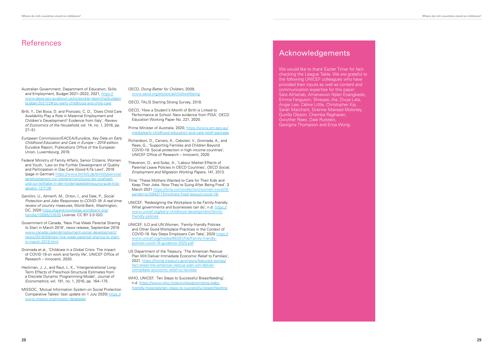### References

- Australian Government, Department of Education, Skills and Employment, Budget 2021–2022, 2021, [https://](https://www.dese.gov.au/about-us/corporate-reporting/budget/budget-202122#toc-early-childhood-and-child-care) [www.dese.gov.au/about-us/corporate-reporting/budget/](https://www.dese.gov.au/about-us/corporate-reporting/budget/budget-202122#toc-early-childhood-and-child-care) [budget-202122#toc-early-childhood-and-child-care](https://www.dese.gov.au/about-us/corporate-reporting/budget/budget-202122#toc-early-childhood-and-child-care)
- Brilli, Y., Del Boca, D. and Pronzato, C. D., 'Does Child Care Availability Play a Role in Maternal Employment and Children's Development? Evidence from Italy', *Review of Economics of the Household*, vol. 14, no. 1, 2016, pp. 27–51.
- European Commission/EACEA/Eurydice, *Key Data on Early Childhood Education and Care in Europe – 2019 edition.*  Eurydice Report, Publications Office of the European Union, Luxembourg, 2019.
- Federal Ministry of Family Affairs, Senior Citizens, Women and Youth, 'Law on the Further Development of Quality and Participation in Day Care (Good KiTa Law)', 2019 (page in German) [https://www.bmfsfj.de/bmfsfj/service/](https://www.bmfsfj.de/bmfsfj/service/gesetze/gesetz-zur-weiterentwicklung-der-qualitaet-und-zur-teilhabe-in-der-kindertagesbetreuung-gute-kita-gesetz--127136) [gesetze/gesetz-zur-weiterentwicklung-der-qualitaet](https://www.bmfsfj.de/bmfsfj/service/gesetze/gesetz-zur-weiterentwicklung-der-qualitaet-und-zur-teilhabe-in-der-kindertagesbetreuung-gute-kita-gesetz--127136)[und-zur-teilhabe-in-der-kindertagesbetreuung-gute-kita](https://www.bmfsfj.de/bmfsfj/service/gesetze/gesetz-zur-weiterentwicklung-der-qualitaet-und-zur-teilhabe-in-der-kindertagesbetreuung-gute-kita-gesetz--127136)[gesetz--127136](https://www.bmfsfj.de/bmfsfj/service/gesetze/gesetz-zur-weiterentwicklung-der-qualitaet-und-zur-teilhabe-in-der-kindertagesbetreuung-gute-kita-gesetz--127136)
- Gentilini, U., Almenfi, M., Orton, I., and Dale, P., *Social Protection and Jobs Responses to COVID-19: A real-time review of country measures*, World Bank, Washington, DC, 2020 [https://openknowledge.worldbank.org/](https://openknowledge.worldbank.org/handle/10986/33635) [handle/10986/33635](https://openknowledge.worldbank.org/handle/10986/33635) License: CC BY 3.0 IGO.
- Government of Canada, 'New Five Week Parental Sharing to Start in March 2019', news release, September 2018 [www.canada.ca/en/employment-social-development/](http://www.canada.ca/en/employment-social-development/news/2018/09/new-five-week-parental-sharing-to-start-in-march-2019.html) [news/2018/09/new-five-week-parental-sharing-to-start](http://www.canada.ca/en/employment-social-development/news/2018/09/new-five-week-parental-sharing-to-start-in-march-2019.html)[in-march-2019.html](http://www.canada.ca/en/employment-social-development/news/2018/09/new-five-week-parental-sharing-to-start-in-march-2019.html)
- Gromada et al., 'Childcare in a Global Crisis: The impact of COVID-19 on work and family life', UNICEF Office of Research – Innocenti, 2020.
- Heckman, J. J., and Raut, L. K., 'Intergenerational Long-Term Effects of Preschool-Structural Estimates from a Discrete Dynamic Programming Model', *Journal of Econometrics*, vol. 191, no. 1, 2016, pp. 164–175.
- MISSOC, 'Mutual Information System on Social Protection Comparative Tables' (last update on 1 July 2020) [https://](https://www.missoc.org/missoc-database/) [www.missoc.org/missoc-database/](https://www.missoc.org/missoc-database/)

We would like to thank Eszter Timar for factchecking the League Table. We are grateful to the following UNICEF colleagues who have provided their inputs as well as content and communication expertise for this paper: Sara AlHattab, Amenawon Njilan Esangbedo, Emma Ferguson, Shreyasi Jha, Divya Lata, Angie Lee, Céline Little, Christopher Kip, Sarah Marchant, Grainne Mairead Moloney, Gunilla Olsson, Chemba Raghavan, Gwyther Rees, Dale Rutstein, Georgina Thompson and Erica Wong.

- OECD, *Doing Better for Children*, 2009, www.oecd.org/els/social/childwellbeing
- OECD, TALIS Starting Strong Survey, 2018.
- OECD, 'How a Student's Month of Birth is Linked to Performance at School: New evidence from PISA', OECD Education Working Paper No. 221, 2020.
- Prime Minister of Australia, 2020, [https://www.pm.gov.au/](https://www.pm.gov.au/media/early-childhood-education-and-care-relief-package) [media/early-childhood-education-and-care-relief-package](https://www.pm.gov.au/media/early-childhood-education-and-care-relief-package)
- Richardson, D., Carraro, A., Cebotari, V., Gromada, A., and Rees, G., 'Supporting Families and Children Beyond COVID-19: Social protection in high-income countries', UNICEF Office of Research – Innocenti, 2020.
- Thévenon, O., and Solaz, A., 'Labour Market Effects of Parental Leave Policies in OECD Countries'*, OECD Social, Employment and Migration Working Papers* , 141, 2013.
- *Time*, 'These Mothers Wanted to Care for Their Kids and Keep Their Jobs. Now They're Suing After Being Fired', 3 March 2021 https://time.com/collection/women-covid19 pandemic/5942117/mothers-fired-lawsuit-covid-19/
- UNICEF, 'Redesigning the Workplace to be Family-friendly: What governments and businesses can do', n.d. [https://](https://www.unicef.org/early-childhood-development/family-friendly-policies) [www.unicef.org/early-childhood-development/family](https://www.unicef.org/early-childhood-development/family-friendly-policies)[friendly-policies](https://www.unicef.org/early-childhood-development/family-friendly-policies)
- UNICEF, ILO and UN Women, 'Family-friendly Policies and Other Good Workplace Practices in the Context of COVID-19. Key Steps Employers Can Take', 2020 [https://](https://www.unicef.org/media/66351/file/Family-friendly-policies-covid-19-guidance-2020.pdf) [www.unicef.org/media/66351/file/Family-friendly](https://www.unicef.org/media/66351/file/Family-friendly-policies-covid-19-guidance-2020.pdf)[policies-covid-19-guidance-2020.pdf](https://www.unicef.org/media/66351/file/Family-friendly-policies-covid-19-guidance-2020.pdf)
- US Department of the Treasury, 'The American Rescue Plan Will Deliver Immediate Economic Relief to Families', 2021, [https://home.treasury.gov/news/featured-stories/](https://home.treasury.gov/news/featured-stories/fact-sheet-the-american-rescue-plan-will-deliver-immediate-economic-relief-to-families) [fact-sheet-the-american-rescue-plan-will-deliver](https://home.treasury.gov/news/featured-stories/fact-sheet-the-american-rescue-plan-will-deliver-immediate-economic-relief-to-families)[immediate-economic-relief-to-families](https://home.treasury.gov/news/featured-stories/fact-sheet-the-american-rescue-plan-will-deliver-immediate-economic-relief-to-families)
- WHO, UNICEF, 'Ten Steps to Successful Breastfeeding', n.d. [https://www.who.int/activities/promoting-baby](https://www.who.int/activities/promoting-baby-friendly-hospitals/ten-steps-to-successful-breastfeeding)[friendly-hospitals/ten-steps-to-successful-breastfeeding](https://www.who.int/activities/promoting-baby-friendly-hospitals/ten-steps-to-successful-breastfeeding)

#### Acknowledgements